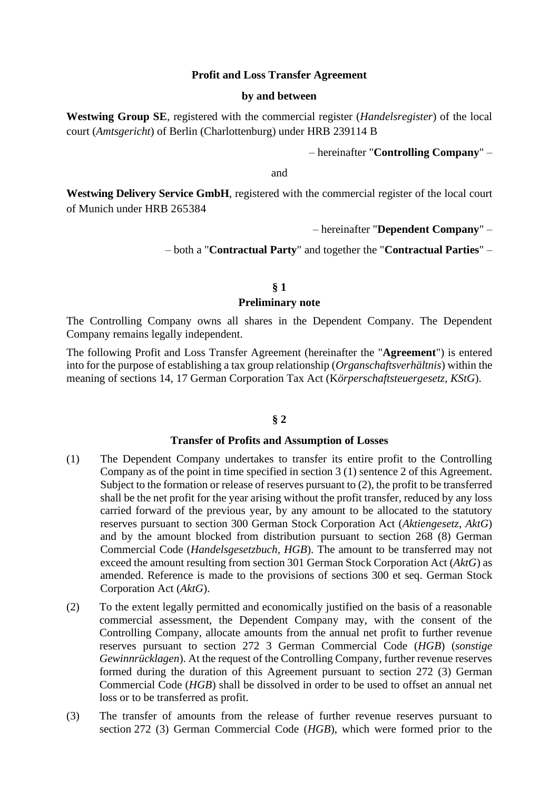## **Profit and Loss Transfer Agreement**

#### **by and between**

**Westwing Group SE**, registered with the commercial register (*Handelsregister*) of the local court (*Amtsgericht*) of Berlin (Charlottenburg) under HRB 239114 B

– hereinafter "**Controlling Company**" –

and

**Westwing Delivery Service GmbH**, registered with the commercial register of the local court of Munich under HRB 265384

– hereinafter "**Dependent Company**" –

– both a "**Contractual Party**" and together the "**Contractual Parties**" –

# **§ 1 Preliminary note**

The Controlling Company owns all shares in the Dependent Company. The Dependent Company remains legally independent.

The following Profit and Loss Transfer Agreement (hereinafter the "**Agreement**") is entered into for the purpose of establishing a tax group relationship (*Organschaftsverhältnis*) within the meaning of sections 14, 17 German Corporation Tax Act (K*örperschaftsteuergesetz, KStG*).

## **§ 2**

### **Transfer of Profits and Assumption of Losses**

- (1) The Dependent Company undertakes to transfer its entire profit to the Controlling Company as of the point in time specified in section 3 (1) sentence 2 of this Agreement. Subject to the formation or release of reserves pursuant to (2), the profit to be transferred shall be the net profit for the year arising without the profit transfer, reduced by any loss carried forward of the previous year, by any amount to be allocated to the statutory reserves pursuant to section 300 German Stock Corporation Act (*Aktiengesetz*, *AktG*) and by the amount blocked from distribution pursuant to section 268 (8) German Commercial Code (*Handelsgesetzbuch, HGB*). The amount to be transferred may not exceed the amount resulting from section 301 German Stock Corporation Act (*AktG*) as amended. Reference is made to the provisions of sections 300 et seq. German Stock Corporation Act (*AktG*).
- (2) To the extent legally permitted and economically justified on the basis of a reasonable commercial assessment, the Dependent Company may, with the consent of the Controlling Company, allocate amounts from the annual net profit to further revenue reserves pursuant to section 272 3 German Commercial Code (*HGB*) (*sonstige Gewinnrücklagen*). At the request of the Controlling Company, further revenue reserves formed during the duration of this Agreement pursuant to section 272 (3) German Commercial Code (*HGB*) shall be dissolved in order to be used to offset an annual net loss or to be transferred as profit.
- (3) The transfer of amounts from the release of further revenue reserves pursuant to section 272 (3) German Commercial Code (*HGB*), which were formed prior to the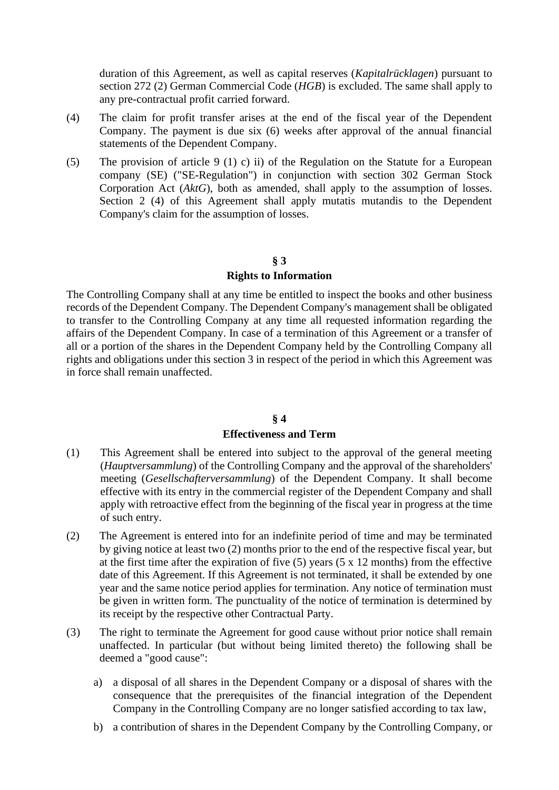duration of this Agreement, as well as capital reserves (*Kapitalrücklagen*) pursuant to section 272 (2) German Commercial Code (*HGB*) is excluded. The same shall apply to any pre-contractual profit carried forward.

- (4) The claim for profit transfer arises at the end of the fiscal year of the Dependent Company. The payment is due six (6) weeks after approval of the annual financial statements of the Dependent Company.
- (5) The provision of article 9 (1) c) ii) of the Regulation on the Statute for a European company (SE) ("SE-Regulation") in conjunction with section 302 German Stock Corporation Act (*AktG*), both as amended, shall apply to the assumption of losses. Section 2 (4) of this Agreement shall apply mutatis mutandis to the Dependent Company's claim for the assumption of losses.

## **§ 3**

## **Rights to Information**

The Controlling Company shall at any time be entitled to inspect the books and other business records of the Dependent Company. The Dependent Company's management shall be obligated to transfer to the Controlling Company at any time all requested information regarding the affairs of the Dependent Company. In case of a termination of this Agreement or a transfer of all or a portion of the shares in the Dependent Company held by the Controlling Company all rights and obligations under this section 3 in respect of the period in which this Agreement was in force shall remain unaffected.

### **§ 4**

#### **Effectiveness and Term**

- (1) This Agreement shall be entered into subject to the approval of the general meeting (*Hauptversammlung*) of the Controlling Company and the approval of the shareholders' meeting (*Gesellschafterversammlung*) of the Dependent Company. It shall become effective with its entry in the commercial register of the Dependent Company and shall apply with retroactive effect from the beginning of the fiscal year in progress at the time of such entry.
- (2) The Agreement is entered into for an indefinite period of time and may be terminated by giving notice at least two (2) months prior to the end of the respective fiscal year, but at the first time after the expiration of five (5) years (5 x 12 months) from the effective date of this Agreement. If this Agreement is not terminated, it shall be extended by one year and the same notice period applies for termination. Any notice of termination must be given in written form. The punctuality of the notice of termination is determined by its receipt by the respective other Contractual Party.
- (3) The right to terminate the Agreement for good cause without prior notice shall remain unaffected. In particular (but without being limited thereto) the following shall be deemed a "good cause":
	- a) a disposal of all shares in the Dependent Company or a disposal of shares with the consequence that the prerequisites of the financial integration of the Dependent Company in the Controlling Company are no longer satisfied according to tax law,
	- b) a contribution of shares in the Dependent Company by the Controlling Company, or